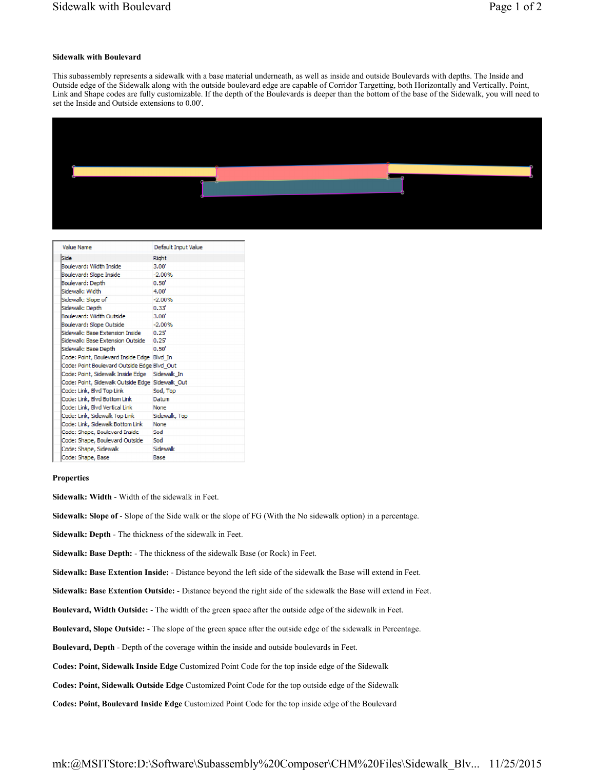## **Sidewalk with Boulevard**

This subassembly represents a sidewalk with a base material underneath, as well as inside and outside Boulevards with depths. The Inside and Outside edge of the Sidewalk along with the outside boulevard edge are capable of Corridor Targetting, both Horizontally and Vertically. Point, Link and Shape codes are fully customizable. If the depth of the Boulevards is deeper than the bottom of the base of the Sidewalk, you will need to set the Inside and Outside extensions to 0.00'.



| Value Name                                      | Default Input Value |
|-------------------------------------------------|---------------------|
| Side                                            | Right               |
| <b>Boulevard: Width Inside</b>                  | 3.00"               |
| Boulevard: Slope Inside                         | $-2.00%$            |
| Boulevard: Depth                                | 0.50"               |
| Sidewalk: Width                                 | 4.00'               |
| Sidewalk: Slope of                              | $-2.00%$            |
| Sidewalk: Depth                                 | 0.33'               |
| Boulevard: Width Outside                        | 3.00'               |
| Boulevard: Slope Outside                        | $-2.00%$            |
| Sidewalk: Base Extension Inside                 | 0.25                |
| Sidewalk: Base Extension Outside                | $0.25^{\circ}$      |
| Sidewalk: Base Depth                            | 0.50'               |
| Code: Point, Boulevard Inside Edge Blvd_In      |                     |
| Code: Point Boulevard Outside Edge Blvd Out     |                     |
| Code: Point, Sidewalk Inside Edge               | Sidewalk In         |
| Code: Point, Sidewalk Outside Edge Sidewalk Out |                     |
| Code: Link, Blvd Top Link                       | Sod. Top            |
| Code: Link, Blvd Bottom Link                    | Datum               |
| Code: Link, Blvd Vertical Link                  | None                |
| Code: Link, Sidewalk Top Link                   | Sidewalk, Top       |
| Code: Link, Sidewalk Bottom Link                | None                |
| Code: Shape, Boulevard Inside                   | Sod                 |
| Code: Shape, Boulevard Outside                  | Sod                 |
| Code: Shape, Sidewalk                           | Sidewalk            |
| Code: Shape, Base                               | Base                |

## **Properties**

**Sidewalk: Width** - Width of the sidewalk in Feet.

**Sidewalk: Slope of** - Slope of the Side walk or the slope of FG (With the No sidewalk option) in a percentage.

**Sidewalk: Depth** - The thickness of the sidewalk in Feet.

**Sidewalk: Base Depth:** - The thickness of the sidewalk Base (or Rock) in Feet.

**Sidewalk: Base Extention Inside:** - Distance beyond the left side of the sidewalk the Base will extend in Feet.

**Sidewalk: Base Extention Outside:** - Distance beyond the right side of the sidewalk the Base will extend in Feet.

**Boulevard, Width Outside:** - The width of the green space after the outside edge of the sidewalk in Feet.

**Boulevard, Slope Outside:** - The slope of the green space after the outside edge of the sidewalk in Percentage.

**Boulevard, Depth** - Depth of the coverage within the inside and outside boulevards in Feet.

**Codes: Point, Sidewalk Inside Edge** Customized Point Code for the top inside edge of the Sidewalk

**Codes: Point, Sidewalk Outside Edge** Customized Point Code for the top outside edge of the Sidewalk

**Codes: Point, Boulevard Inside Edge** Customized Point Code for the top inside edge of the Boulevard